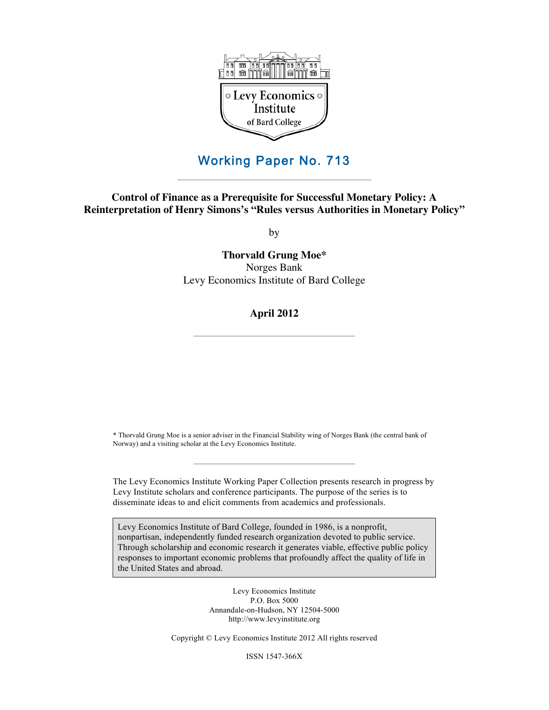

# Working Paper No. 713

**Control of Finance as a Prerequisite for Successful Monetary Policy: A Reinterpretation of Henry Simons's "Rules versus Authorities in Monetary Policy"**

by

**Thorvald Grung Moe\*** Norges Bank Levy Economics Institute of Bard College

# **April 2012**

\* Thorvald Grung Moe is a senior adviser in the Financial Stability wing of Norges Bank (the central bank of Norway) and a visiting scholar at the Levy Economics Institute.

The Levy Economics Institute Working Paper Collection presents research in progress by Levy Institute scholars and conference participants. The purpose of the series is to disseminate ideas to and elicit comments from academics and professionals.

Levy Economics Institute of Bard College, founded in 1986, is a nonprofit, nonpartisan, independently funded research organization devoted to public service. Through scholarship and economic research it generates viable, effective public policy responses to important economic problems that profoundly affect the quality of life in the United States and abroad.

> Levy Economics Institute P.O. Box 5000 Annandale-on-Hudson, NY 12504-5000 http://www.levyinstitute.org

Copyright © Levy Economics Institute 2012 All rights reserved

ISSN 1547-366X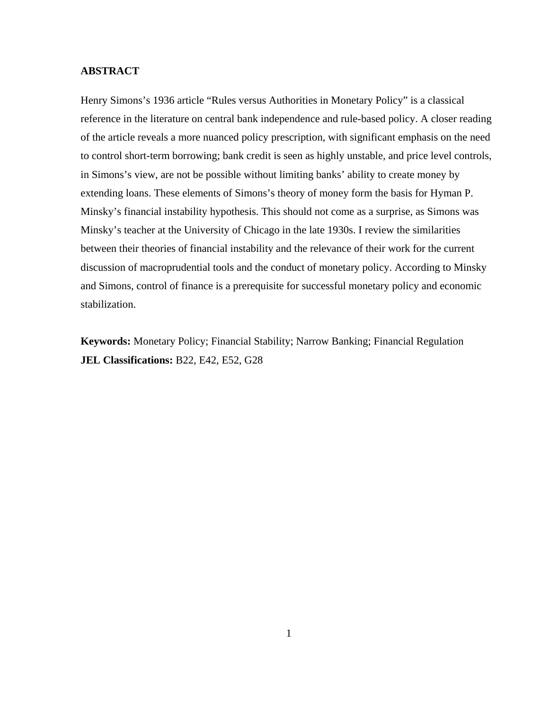# **ABSTRACT**

Henry Simons's 1936 article "Rules versus Authorities in Monetary Policy" is a classical reference in the literature on central bank independence and rule-based policy. A closer reading of the article reveals a more nuanced policy prescription, with significant emphasis on the need to control short-term borrowing; bank credit is seen as highly unstable, and price level controls, in Simons's view, are not be possible without limiting banks' ability to create money by extending loans. These elements of Simons's theory of money form the basis for Hyman P. Minsky's financial instability hypothesis. This should not come as a surprise, as Simons was Minsky's teacher at the University of Chicago in the late 1930s. I review the similarities between their theories of financial instability and the relevance of their work for the current discussion of macroprudential tools and the conduct of monetary policy. According to Minsky and Simons, control of finance is a prerequisite for successful monetary policy and economic stabilization.

**Keywords:** Monetary Policy; Financial Stability; Narrow Banking; Financial Regulation **JEL Classifications:** B22, E42, E52, G28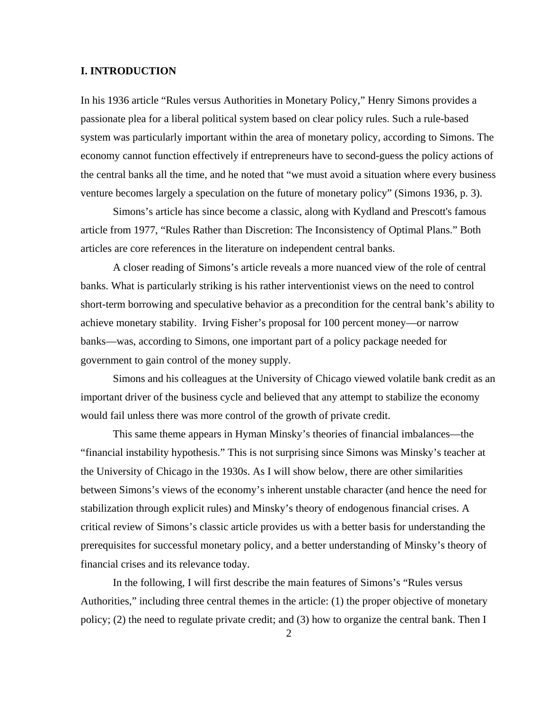# **I. INTRODUCTION**

In his 1936 article "Rules versus Authorities in Monetary Policy," Henry Simons provides a passionate plea for a liberal political system based on clear policy rules. Such a rule-based system was particularly important within the area of monetary policy, according to Simons. The economy cannot function effectively if entrepreneurs have to second-guess the policy actions of the central banks all the time, and he noted that "we must avoid a situation where every business venture becomes largely a speculation on the future of monetary policy" (Simons 1936, p. 3).

 Simons's article has since become a classic, along with Kydland and Prescott's famous article from 1977, "Rules Rather than Discretion: The Inconsistency of Optimal Plans." Both articles are core references in the literature on independent central banks.

 A closer reading of Simons's article reveals a more nuanced view of the role of central banks. What is particularly striking is his rather interventionist views on the need to control short-term borrowing and speculative behavior as a precondition for the central bank's ability to achieve monetary stability. Irving Fisher's proposal for 100 percent money—or narrow banks—was, according to Simons, one important part of a policy package needed for government to gain control of the money supply.

 Simons and his colleagues at the University of Chicago viewed volatile bank credit as an important driver of the business cycle and believed that any attempt to stabilize the economy would fail unless there was more control of the growth of private credit.

 This same theme appears in Hyman Minsky's theories of financial imbalances—the "financial instability hypothesis." This is not surprising since Simons was Minsky's teacher at the University of Chicago in the 1930s. As I will show below, there are other similarities between Simons's views of the economy's inherent unstable character (and hence the need for stabilization through explicit rules) and Minsky's theory of endogenous financial crises. A critical review of Simons's classic article provides us with a better basis for understanding the prerequisites for successful monetary policy, and a better understanding of Minsky's theory of financial crises and its relevance today.

 In the following, I will first describe the main features of Simons's "Rules versus Authorities," including three central themes in the article: (1) the proper objective of monetary policy; (2) the need to regulate private credit; and (3) how to organize the central bank. Then I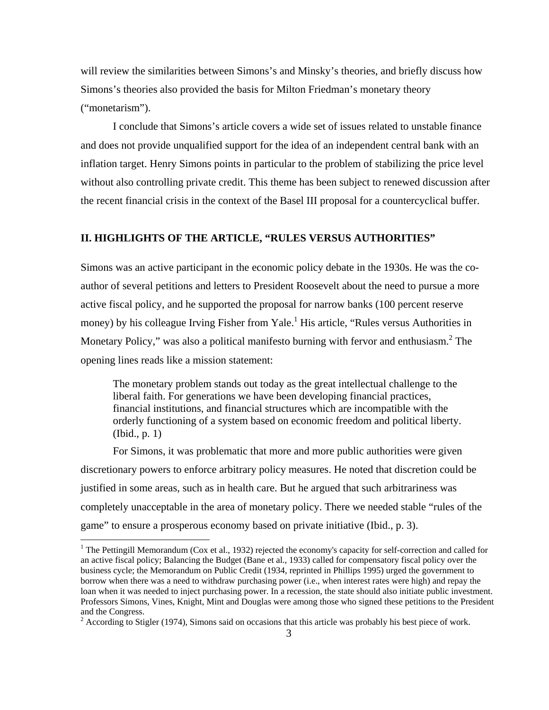will review the similarities between Simons's and Minsky's theories, and briefly discuss how Simons's theories also provided the basis for Milton Friedman's monetary theory ("monetarism").

 I conclude that Simons's article covers a wide set of issues related to unstable finance and does not provide unqualified support for the idea of an independent central bank with an inflation target. Henry Simons points in particular to the problem of stabilizing the price level without also controlling private credit. This theme has been subject to renewed discussion after the recent financial crisis in the context of the Basel III proposal for a countercyclical buffer.

# **II. HIGHLIGHTS OF THE ARTICLE, "RULES VERSUS AUTHORITIES"**

Simons was an active participant in the economic policy debate in the 1930s. He was the coauthor of several petitions and letters to President Roosevelt about the need to pursue a more active fiscal policy, and he supported the proposal for narrow banks (100 percent reserve money) by his colleague Irving Fisher from Yale.<sup>1</sup> His article, "Rules versus Authorities in Monetary Policy," was also a political manifesto burning with fervor and enthusiasm.<sup>2</sup> The opening lines reads like a mission statement:

The monetary problem stands out today as the great intellectual challenge to the liberal faith. For generations we have been developing financial practices, financial institutions, and financial structures which are incompatible with the orderly functioning of a system based on economic freedom and political liberty. (Ibid., p. 1)

 For Simons, it was problematic that more and more public authorities were given discretionary powers to enforce arbitrary policy measures. He noted that discretion could be justified in some areas, such as in health care. But he argued that such arbitrariness was completely unacceptable in the area of monetary policy. There we needed stable "rules of the game" to ensure a prosperous economy based on private initiative (Ibid., p. 3).

<u>.</u>

<sup>&</sup>lt;sup>1</sup> The Pettingill Memorandum (Cox et al., 1932) rejected the economy's capacity for self-correction and called for an active fiscal policy; Balancing the Budget (Bane et al., 1933) called for compensatory fiscal policy over the business cycle; the Memorandum on Public Credit (1934, reprinted in Phillips 1995) urged the government to borrow when there was a need to withdraw purchasing power (i.e., when interest rates were high) and repay the loan when it was needed to inject purchasing power. In a recession, the state should also initiate public investment. Professors Simons, Vines, Knight, Mint and Douglas were among those who signed these petitions to the President and the Congress.

 $2 \text{ According to Stigler (1974), Simons said on occasions that this article was probably his best piece of work.}$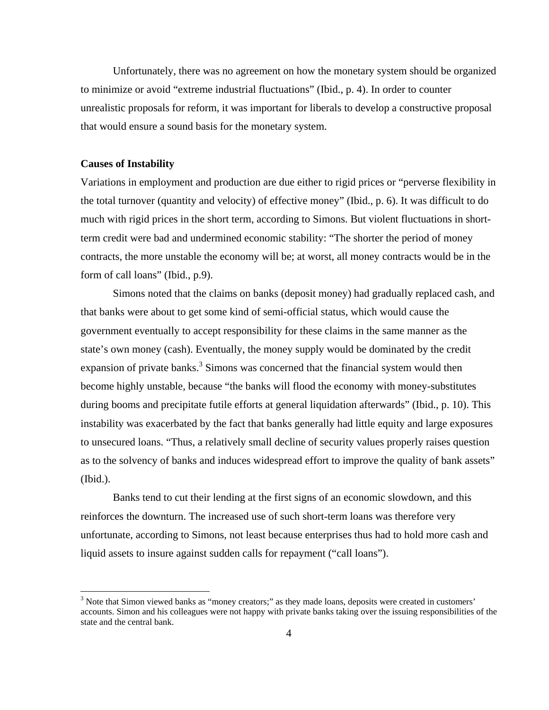Unfortunately, there was no agreement on how the monetary system should be organized to minimize or avoid "extreme industrial fluctuations" (Ibid., p. 4). In order to counter unrealistic proposals for reform, it was important for liberals to develop a constructive proposal that would ensure a sound basis for the monetary system.

## **Causes of Instability**

 $\overline{a}$ 

Variations in employment and production are due either to rigid prices or "perverse flexibility in the total turnover (quantity and velocity) of effective money" (Ibid., p. 6). It was difficult to do much with rigid prices in the short term, according to Simons. But violent fluctuations in shortterm credit were bad and undermined economic stability: "The shorter the period of money contracts, the more unstable the economy will be; at worst, all money contracts would be in the form of call loans" (Ibid., p.9).

 Simons noted that the claims on banks (deposit money) had gradually replaced cash, and that banks were about to get some kind of semi-official status, which would cause the government eventually to accept responsibility for these claims in the same manner as the state's own money (cash). Eventually, the money supply would be dominated by the credit expansion of private banks. $3$  Simons was concerned that the financial system would then become highly unstable, because "the banks will flood the economy with money-substitutes during booms and precipitate futile efforts at general liquidation afterwards" (Ibid., p. 10). This instability was exacerbated by the fact that banks generally had little equity and large exposures to unsecured loans. "Thus, a relatively small decline of security values properly raises question as to the solvency of banks and induces widespread effort to improve the quality of bank assets" (Ibid.).

 Banks tend to cut their lending at the first signs of an economic slowdown, and this reinforces the downturn. The increased use of such short-term loans was therefore very unfortunate, according to Simons, not least because enterprises thus had to hold more cash and liquid assets to insure against sudden calls for repayment ("call loans").

<sup>&</sup>lt;sup>3</sup> Note that Simon viewed banks as "money creators;" as they made loans, deposits were created in customers' accounts. Simon and his colleagues were not happy with private banks taking over the issuing responsibilities of the state and the central bank.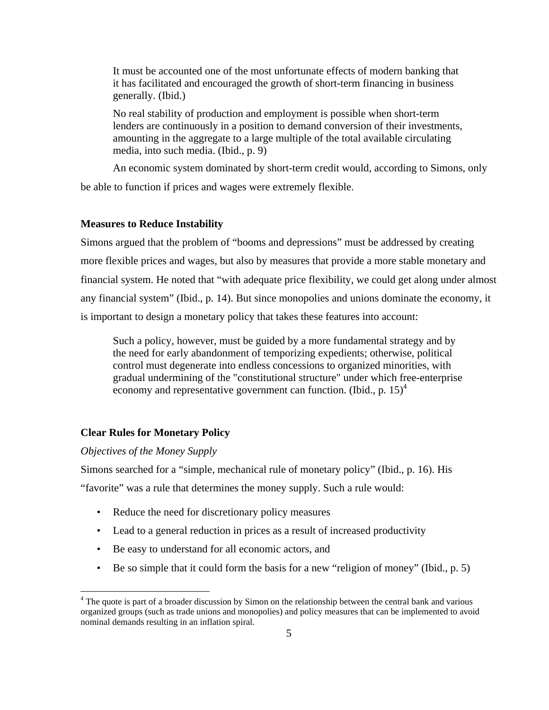It must be accounted one of the most unfortunate effects of modern banking that it has facilitated and encouraged the growth of short-term financing in business generally. (Ibid.)

No real stability of production and employment is possible when short-term lenders are continuously in a position to demand conversion of their investments, amounting in the aggregate to a large multiple of the total available circulating media, into such media. (Ibid., p. 9)

 An economic system dominated by short-term credit would, according to Simons, only be able to function if prices and wages were extremely flexible.

# **Measures to Reduce Instability**

Simons argued that the problem of "booms and depressions" must be addressed by creating more flexible prices and wages, but also by measures that provide a more stable monetary and financial system. He noted that "with adequate price flexibility, we could get along under almost any financial system" (Ibid., p. 14). But since monopolies and unions dominate the economy, it is important to design a monetary policy that takes these features into account:

Such a policy, however, must be guided by a more fundamental strategy and by the need for early abandonment of temporizing expedients; otherwise, political control must degenerate into endless concessions to organized minorities, with gradual undermining of the "constitutional structure" under which free-enterprise economy and representative government can function. (Ibid., p.  $15<sup>4</sup>$ )

# **Clear Rules for Monetary Policy**

# *Objectives of the Money Supply*

1

Simons searched for a "simple, mechanical rule of monetary policy" (Ibid., p. 16). His "favorite" was a rule that determines the money supply. Such a rule would:

- Reduce the need for discretionary policy measures
- Lead to a general reduction in prices as a result of increased productivity
- Be easy to understand for all economic actors, and
- Be so simple that it could form the basis for a new "religion of money" (Ibid., p. 5)

<sup>&</sup>lt;sup>4</sup> The quote is part of a broader discussion by Simon on the relationship between the central bank and various organized groups (such as trade unions and monopolies) and policy measures that can be implemented to avoid nominal demands resulting in an inflation spiral.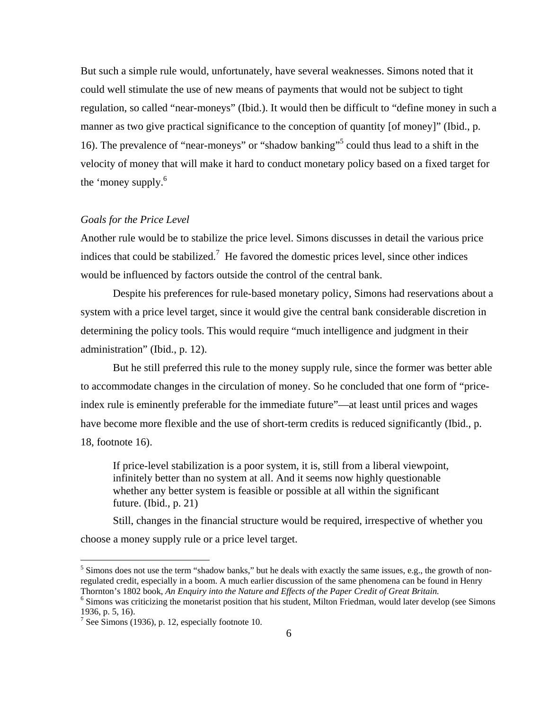But such a simple rule would, unfortunately, have several weaknesses. Simons noted that it could well stimulate the use of new means of payments that would not be subject to tight regulation, so called "near-moneys" (Ibid.). It would then be difficult to "define money in such a manner as two give practical significance to the conception of quantity [of money]" (Ibid., p. 16). The prevalence of "near-moneys" or "shadow banking"<sup>5</sup> could thus lead to a shift in the velocity of money that will make it hard to conduct monetary policy based on a fixed target for the 'money supply.<sup>6</sup>

# *Goals for the Price Level*

Another rule would be to stabilize the price level. Simons discusses in detail the various price indices that could be stabilized.<sup>7</sup> He favored the domestic prices level, since other indices would be influenced by factors outside the control of the central bank.

 Despite his preferences for rule-based monetary policy, Simons had reservations about a system with a price level target, since it would give the central bank considerable discretion in determining the policy tools. This would require "much intelligence and judgment in their administration" (Ibid., p. 12).

 But he still preferred this rule to the money supply rule, since the former was better able to accommodate changes in the circulation of money. So he concluded that one form of "priceindex rule is eminently preferable for the immediate future"—at least until prices and wages have become more flexible and the use of short-term credits is reduced significantly (Ibid., p. 18, footnote 16).

If price-level stabilization is a poor system, it is, still from a liberal viewpoint, infinitely better than no system at all. And it seems now highly questionable whether any better system is feasible or possible at all within the significant future. (Ibid., p. 21)

 Still, changes in the financial structure would be required, irrespective of whether you choose a money supply rule or a price level target.

 $\overline{a}$ 

<sup>&</sup>lt;sup>5</sup> Simons does not use the term "shadow banks," but he deals with exactly the same issues, e.g., the growth of nonregulated credit, especially in a boom. A much earlier discussion of the same phenomena can be found in Henry Thornton's 1802 book, *An Enquiry into the Nature and Effects of the Paper Credit of Great Britain.* <sup>6</sup>

 $<sup>6</sup>$  Simons was criticizing the monetarist position that his student, Milton Friedman, would later develop (see Simons</sup> 1936, p. 5, 16).

<sup>&</sup>lt;sup>7</sup> See Simons (1936), p. 12, especially footnote 10.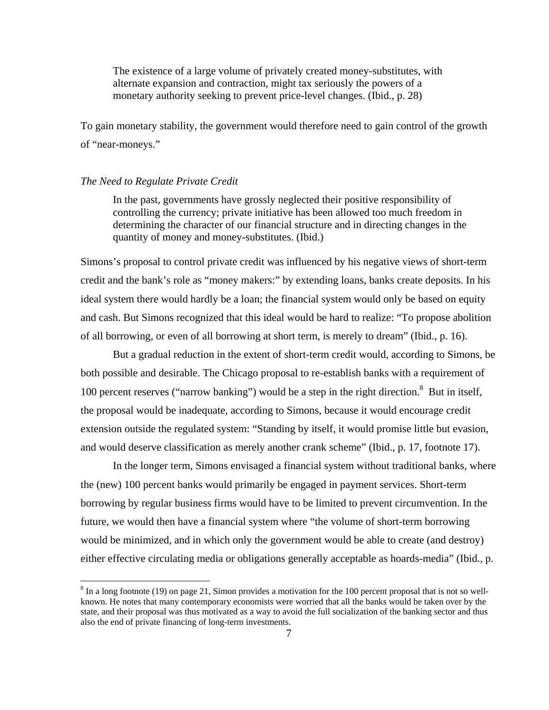The existence of a large volume of privately created money-substitutes, with alternate expansion and contraction, might tax seriously the powers of a monetary authority seeking to prevent price-level changes. (Ibid., p. 28)

To gain monetary stability, the government would therefore need to gain control of the growth of "near-moneys."

#### *The Need to Regulate Private Credit*

 $\overline{a}$ 

In the past, governments have grossly neglected their positive responsibility of controlling the currency; private initiative has been allowed too much freedom in determining the character of our financial structure and in directing changes in the quantity of money and money-substitutes. (Ibid.)

Simons's proposal to control private credit was influenced by his negative views of short-term credit and the bank's role as "money makers:" by extending loans, banks create deposits. In his ideal system there would hardly be a loan; the financial system would only be based on equity and cash. But Simons recognized that this ideal would be hard to realize: "To propose abolition of all borrowing, or even of all borrowing at short term, is merely to dream" (Ibid., p. 16).

 But a gradual reduction in the extent of short-term credit would, according to Simons, be both possible and desirable. The Chicago proposal to re-establish banks with a requirement of 100 percent reserves ("narrow banking") would be a step in the right direction.<sup>8</sup> But in itself, the proposal would be inadequate, according to Simons, because it would encourage credit extension outside the regulated system: "Standing by itself, it would promise little but evasion, and would deserve classification as merely another crank scheme" (Ibid., p. 17, footnote 17).

 In the longer term, Simons envisaged a financial system without traditional banks, where the (new) 100 percent banks would primarily be engaged in payment services. Short-term borrowing by regular business firms would have to be limited to prevent circumvention. In the future, we would then have a financial system where "the volume of short-term borrowing would be minimized, and in which only the government would be able to create (and destroy) either effective circulating media or obligations generally acceptable as hoards-media" (Ibid., p.

 $8 \text{ In a long footnote (19) on page 21, Simon provides a motivation for the 100 percent proposal that is not so well$ known. He notes that many contemporary economists were worried that all the banks would be taken over by the state, and their proposal was thus motivated as a way to avoid the full socialization of the banking sector and thus also the end of private financing of long-term investments.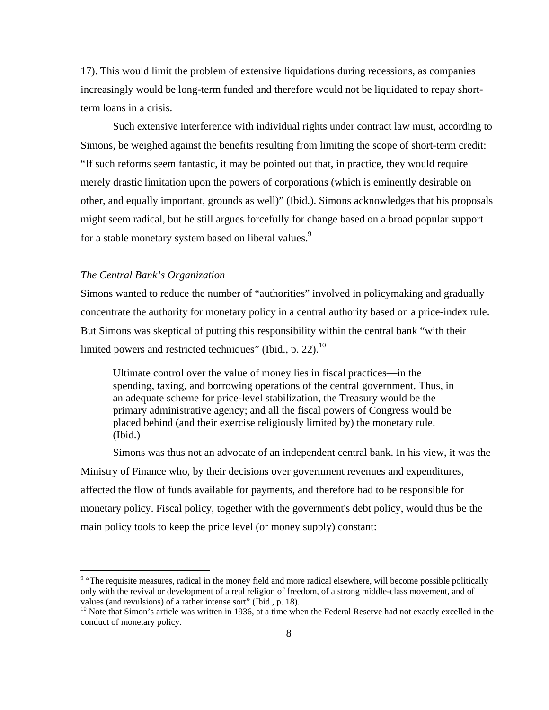17). This would limit the problem of extensive liquidations during recessions, as companies increasingly would be long-term funded and therefore would not be liquidated to repay shortterm loans in a crisis.

 Such extensive interference with individual rights under contract law must, according to Simons, be weighed against the benefits resulting from limiting the scope of short-term credit: "If such reforms seem fantastic, it may be pointed out that, in practice, they would require merely drastic limitation upon the powers of corporations (which is eminently desirable on other, and equally important, grounds as well)" (Ibid.). Simons acknowledges that his proposals might seem radical, but he still argues forcefully for change based on a broad popular support for a stable monetary system based on liberal values.<sup>9</sup>

# *The Central Bank's Organization*

 $\overline{a}$ 

Simons wanted to reduce the number of "authorities" involved in policymaking and gradually concentrate the authority for monetary policy in a central authority based on a price-index rule. But Simons was skeptical of putting this responsibility within the central bank "with their limited powers and restricted techniques" (Ibid., p. 22).<sup>10</sup>

Ultimate control over the value of money lies in fiscal practices—in the spending, taxing, and borrowing operations of the central government. Thus, in an adequate scheme for price-level stabilization, the Treasury would be the primary administrative agency; and all the fiscal powers of Congress would be placed behind (and their exercise religiously limited by) the monetary rule. (Ibid.)

 Simons was thus not an advocate of an independent central bank. In his view, it was the Ministry of Finance who, by their decisions over government revenues and expenditures, affected the flow of funds available for payments, and therefore had to be responsible for monetary policy. Fiscal policy, together with the government's debt policy, would thus be the main policy tools to keep the price level (or money supply) constant:

<sup>&</sup>lt;sup>9</sup> "The requisite measures, radical in the money field and more radical elsewhere, will become possible politically only with the revival or development of a real religion of freedom, of a strong middle-class movement, and of values (and revulsions) of a rather intense sort" (Ibid., p. 18).

 $10$  Note that Simon's article was written in 1936, at a time when the Federal Reserve had not exactly excelled in the conduct of monetary policy.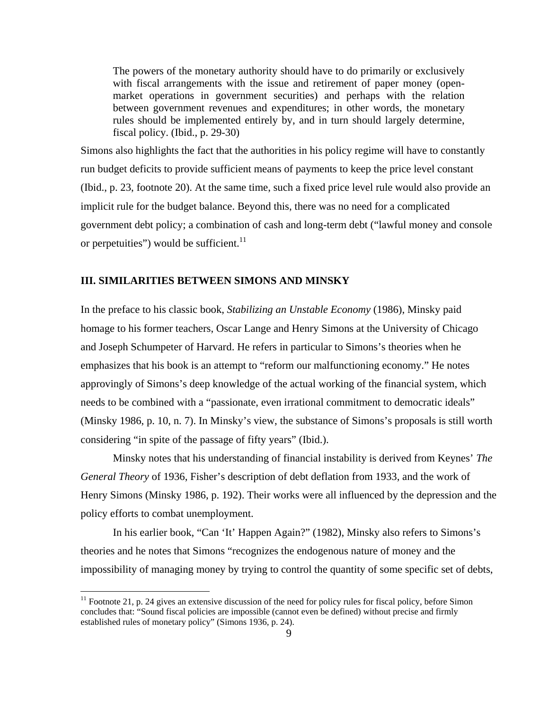The powers of the monetary authority should have to do primarily or exclusively with fiscal arrangements with the issue and retirement of paper money (openmarket operations in government securities) and perhaps with the relation between government revenues and expenditures; in other words, the monetary rules should be implemented entirely by, and in turn should largely determine, fiscal policy. (Ibid., p. 29-30)

Simons also highlights the fact that the authorities in his policy regime will have to constantly run budget deficits to provide sufficient means of payments to keep the price level constant (Ibid., p. 23, footnote 20). At the same time, such a fixed price level rule would also provide an implicit rule for the budget balance. Beyond this, there was no need for a complicated government debt policy; a combination of cash and long-term debt ("lawful money and console or perpetuities") would be sufficient. $11$ 

## **III. SIMILARITIES BETWEEN SIMONS AND MINSKY**

 $\overline{a}$ 

In the preface to his classic book, *Stabilizing an Unstable Economy* (1986), Minsky paid homage to his former teachers, Oscar Lange and Henry Simons at the University of Chicago and Joseph Schumpeter of Harvard. He refers in particular to Simons's theories when he emphasizes that his book is an attempt to "reform our malfunctioning economy." He notes approvingly of Simons's deep knowledge of the actual working of the financial system, which needs to be combined with a "passionate, even irrational commitment to democratic ideals" (Minsky 1986, p. 10, n. 7). In Minsky's view, the substance of Simons's proposals is still worth considering "in spite of the passage of fifty years" (Ibid.).

 Minsky notes that his understanding of financial instability is derived from Keynes' *The General Theory* of 1936, Fisher's description of debt deflation from 1933, and the work of Henry Simons (Minsky 1986, p. 192). Their works were all influenced by the depression and the policy efforts to combat unemployment.

 In his earlier book, "Can 'It' Happen Again?" (1982), Minsky also refers to Simons's theories and he notes that Simons "recognizes the endogenous nature of money and the impossibility of managing money by trying to control the quantity of some specific set of debts,

 $11$  Footnote 21, p. 24 gives an extensive discussion of the need for policy rules for fiscal policy, before Simon concludes that: "Sound fiscal policies are impossible (cannot even be defined) without precise and firmly established rules of monetary policy" (Simons 1936, p. 24).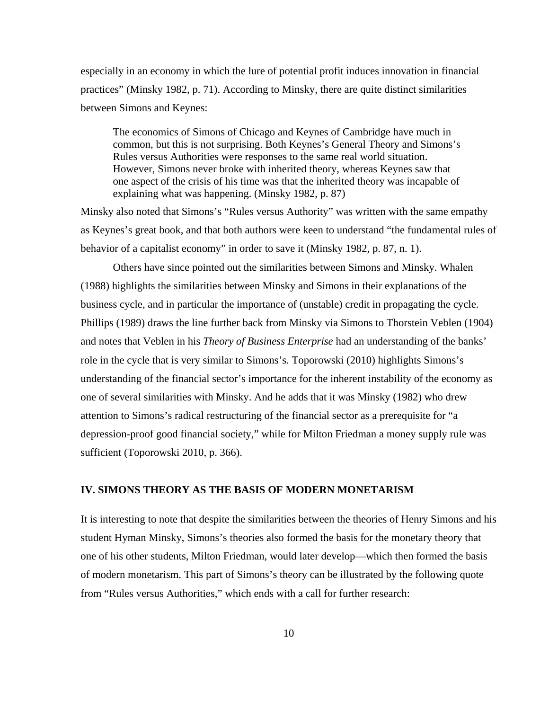especially in an economy in which the lure of potential profit induces innovation in financial practices" (Minsky 1982, p. 71). According to Minsky, there are quite distinct similarities between Simons and Keynes:

The economics of Simons of Chicago and Keynes of Cambridge have much in common, but this is not surprising. Both Keynes's General Theory and Simons's Rules versus Authorities were responses to the same real world situation. However, Simons never broke with inherited theory, whereas Keynes saw that one aspect of the crisis of his time was that the inherited theory was incapable of explaining what was happening. (Minsky 1982, p. 87)

Minsky also noted that Simons's "Rules versus Authority" was written with the same empathy as Keynes's great book, and that both authors were keen to understand "the fundamental rules of behavior of a capitalist economy" in order to save it (Minsky 1982, p. 87, n. 1).

 Others have since pointed out the similarities between Simons and Minsky. Whalen (1988) highlights the similarities between Minsky and Simons in their explanations of the business cycle, and in particular the importance of (unstable) credit in propagating the cycle. Phillips (1989) draws the line further back from Minsky via Simons to Thorstein Veblen (1904) and notes that Veblen in his *Theory of Business Enterprise* had an understanding of the banks' role in the cycle that is very similar to Simons's. Toporowski (2010) highlights Simons's understanding of the financial sector's importance for the inherent instability of the economy as one of several similarities with Minsky. And he adds that it was Minsky (1982) who drew attention to Simons's radical restructuring of the financial sector as a prerequisite for "a depression-proof good financial society," while for Milton Friedman a money supply rule was sufficient (Toporowski 2010, p. 366).

# **IV. SIMONS THEORY AS THE BASIS OF MODERN MONETARISM**

It is interesting to note that despite the similarities between the theories of Henry Simons and his student Hyman Minsky, Simons's theories also formed the basis for the monetary theory that one of his other students, Milton Friedman, would later develop—which then formed the basis of modern monetarism. This part of Simons's theory can be illustrated by the following quote from "Rules versus Authorities," which ends with a call for further research: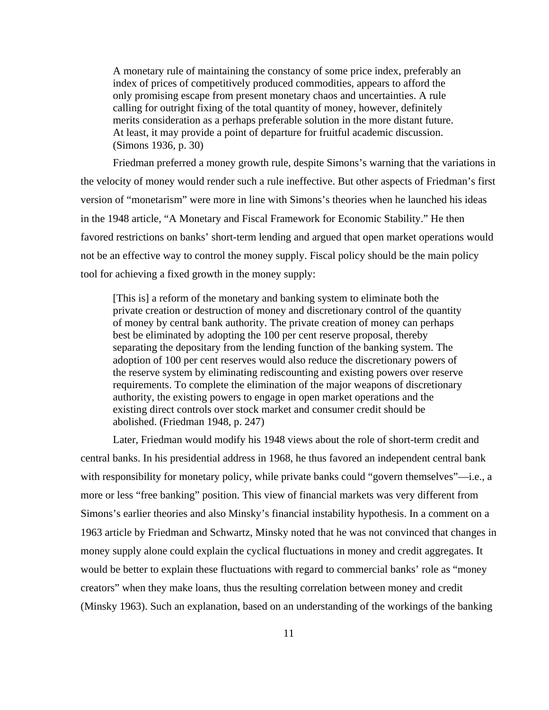A monetary rule of maintaining the constancy of some price index, preferably an index of prices of competitively produced commodities, appears to afford the only promising escape from present monetary chaos and uncertainties. A rule calling for outright fixing of the total quantity of money, however, definitely merits consideration as a perhaps preferable solution in the more distant future. At least, it may provide a point of departure for fruitful academic discussion. (Simons 1936, p. 30)

 Friedman preferred a money growth rule, despite Simons's warning that the variations in the velocity of money would render such a rule ineffective. But other aspects of Friedman's first version of "monetarism" were more in line with Simons's theories when he launched his ideas in the 1948 article, "A Monetary and Fiscal Framework for Economic Stability." He then favored restrictions on banks' short-term lending and argued that open market operations would not be an effective way to control the money supply. Fiscal policy should be the main policy tool for achieving a fixed growth in the money supply:

[This is] a reform of the monetary and banking system to eliminate both the private creation or destruction of money and discretionary control of the quantity of money by central bank authority. The private creation of money can perhaps best be eliminated by adopting the 100 per cent reserve proposal, thereby separating the depositary from the lending function of the banking system. The adoption of 100 per cent reserves would also reduce the discretionary powers of the reserve system by eliminating rediscounting and existing powers over reserve requirements. To complete the elimination of the major weapons of discretionary authority, the existing powers to engage in open market operations and the existing direct controls over stock market and consumer credit should be abolished. (Friedman 1948, p. 247)

 Later, Friedman would modify his 1948 views about the role of short-term credit and central banks. In his presidential address in 1968, he thus favored an independent central bank with responsibility for monetary policy, while private banks could "govern themselves"—i.e., a more or less "free banking" position. This view of financial markets was very different from Simons's earlier theories and also Minsky's financial instability hypothesis. In a comment on a 1963 article by Friedman and Schwartz, Minsky noted that he was not convinced that changes in money supply alone could explain the cyclical fluctuations in money and credit aggregates. It would be better to explain these fluctuations with regard to commercial banks' role as "money creators" when they make loans, thus the resulting correlation between money and credit (Minsky 1963). Such an explanation, based on an understanding of the workings of the banking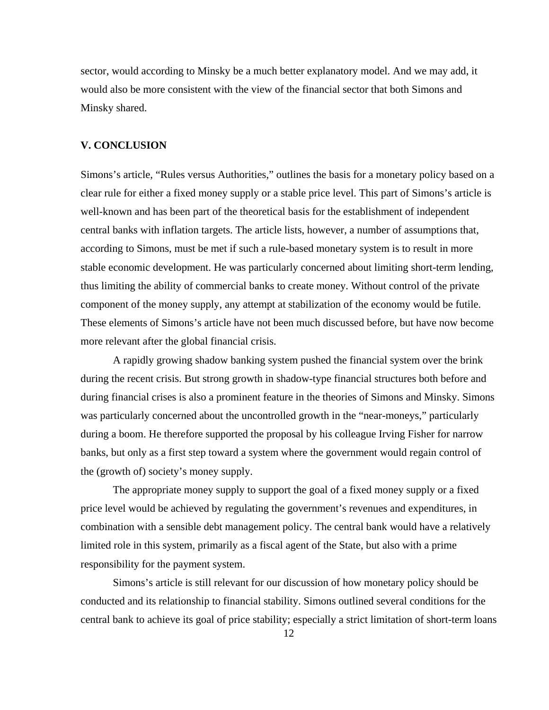sector, would according to Minsky be a much better explanatory model. And we may add, it would also be more consistent with the view of the financial sector that both Simons and Minsky shared.

# **V. CONCLUSION**

Simons's article, "Rules versus Authorities," outlines the basis for a monetary policy based on a clear rule for either a fixed money supply or a stable price level. This part of Simons's article is well-known and has been part of the theoretical basis for the establishment of independent central banks with inflation targets. The article lists, however, a number of assumptions that, according to Simons, must be met if such a rule-based monetary system is to result in more stable economic development. He was particularly concerned about limiting short-term lending, thus limiting the ability of commercial banks to create money. Without control of the private component of the money supply, any attempt at stabilization of the economy would be futile. These elements of Simons's article have not been much discussed before, but have now become more relevant after the global financial crisis.

 A rapidly growing shadow banking system pushed the financial system over the brink during the recent crisis. But strong growth in shadow-type financial structures both before and during financial crises is also a prominent feature in the theories of Simons and Minsky. Simons was particularly concerned about the uncontrolled growth in the "near-moneys," particularly during a boom. He therefore supported the proposal by his colleague Irving Fisher for narrow banks, but only as a first step toward a system where the government would regain control of the (growth of) society's money supply.

 The appropriate money supply to support the goal of a fixed money supply or a fixed price level would be achieved by regulating the government's revenues and expenditures, in combination with a sensible debt management policy. The central bank would have a relatively limited role in this system, primarily as a fiscal agent of the State, but also with a prime responsibility for the payment system.

 Simons's article is still relevant for our discussion of how monetary policy should be conducted and its relationship to financial stability. Simons outlined several conditions for the central bank to achieve its goal of price stability; especially a strict limitation of short-term loans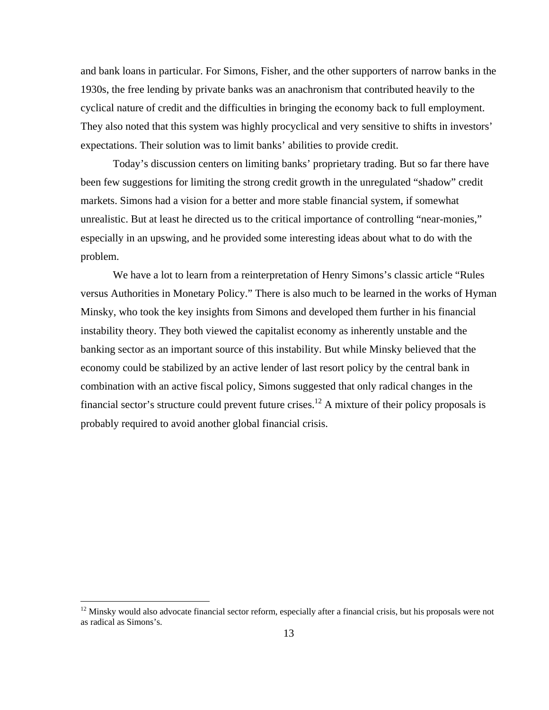and bank loans in particular. For Simons, Fisher, and the other supporters of narrow banks in the 1930s, the free lending by private banks was an anachronism that contributed heavily to the cyclical nature of credit and the difficulties in bringing the economy back to full employment. They also noted that this system was highly procyclical and very sensitive to shifts in investors' expectations. Their solution was to limit banks' abilities to provide credit.

 Today's discussion centers on limiting banks' proprietary trading. But so far there have been few suggestions for limiting the strong credit growth in the unregulated "shadow" credit markets. Simons had a vision for a better and more stable financial system, if somewhat unrealistic. But at least he directed us to the critical importance of controlling "near-monies," especially in an upswing, and he provided some interesting ideas about what to do with the problem.

 We have a lot to learn from a reinterpretation of Henry Simons's classic article "Rules versus Authorities in Monetary Policy." There is also much to be learned in the works of Hyman Minsky, who took the key insights from Simons and developed them further in his financial instability theory. They both viewed the capitalist economy as inherently unstable and the banking sector as an important source of this instability. But while Minsky believed that the economy could be stabilized by an active lender of last resort policy by the central bank in combination with an active fiscal policy, Simons suggested that only radical changes in the financial sector's structure could prevent future crises.<sup>12</sup> A mixture of their policy proposals is probably required to avoid another global financial crisis.

 $\overline{a}$ 

 $12$  Minsky would also advocate financial sector reform, especially after a financial crisis, but his proposals were not as radical as Simons's.